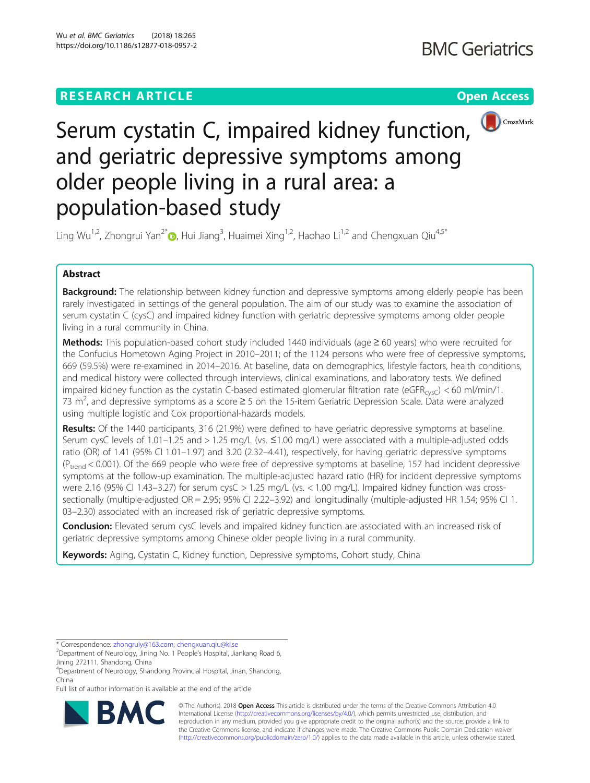

# Serum cystatin C, impaired kidney function, and geriatric depressive symptoms among older people living in a rural area: a population-based study

Ling Wu<sup>1,2</sup>, Zhongrui Yan<sup>2[\\*](http://orcid.org/0000-0003-3447-3300)</sup>. Hui Jiang<sup>3</sup>, Huaimei Xing<sup>1,2</sup>, Haohao Li<sup>1,2</sup> and Chengxuan Qiu<sup>4,5\*</sup>

# Abstract

**Background:** The relationship between kidney function and depressive symptoms among elderly people has been rarely investigated in settings of the general population. The aim of our study was to examine the association of serum cystatin C (cysC) and impaired kidney function with geriatric depressive symptoms among older people living in a rural community in China.

Methods: This population-based cohort study included 1440 individuals (age ≥ 60 years) who were recruited for the Confucius Hometown Aging Project in 2010–2011; of the 1124 persons who were free of depressive symptoms, 669 (59.5%) were re-examined in 2014–2016. At baseline, data on demographics, lifestyle factors, health conditions, and medical history were collected through interviews, clinical examinations, and laboratory tests. We defined impaired kidney function as the cystatin C-based estimated glomerular filtration rate (eGFR<sub>cysC</sub>) < 60 ml/min/1. 73  $m^2$ , and depressive symptoms as a score  $\geq$  5 on the 15-item Geriatric Depression Scale. Data were analyzed using multiple logistic and Cox proportional-hazards models.

Results: Of the 1440 participants, 316 (21.9%) were defined to have geriatric depressive symptoms at baseline. Serum cysC levels of 1.01–1.25 and > 1.25 mg/L (vs. ≤1.00 mg/L) were associated with a multiple-adjusted odds ratio (OR) of 1.41 (95% CI 1.01–1.97) and 3.20 (2.32–4.41), respectively, for having geriatric depressive symptoms  $(P_{trend} < 0.001)$ . Of the 669 people who were free of depressive symptoms at baseline, 157 had incident depressive symptoms at the follow-up examination. The multiple-adjusted hazard ratio (HR) for incident depressive symptoms were 2.16 (95% CI 1.43–3.27) for serum cysC > 1.25 mg/L (vs. < 1.00 mg/L). Impaired kidney function was crosssectionally (multiple-adjusted OR = 2.95; 95% CI 2.22–3.92) and longitudinally (multiple-adjusted HR 1.54; 95% CI 1. 03–2.30) associated with an increased risk of geriatric depressive symptoms.

**Conclusion:** Elevated serum cysC levels and impaired kidney function are associated with an increased risk of geriatric depressive symptoms among Chinese older people living in a rural community.

Keywords: Aging, Cystatin C, Kidney function, Depressive symptoms, Cohort study, China

\* Correspondence: [zhongruiy@163.com](mailto:zhongruiy@163.com); [chengxuan.qiu@ki.se](mailto:chengxuan.qiu@ki.se) <sup>2</sup>

Full list of author information is available at the end of the article



© The Author(s). 2018 Open Access This article is distributed under the terms of the Creative Commons Attribution 4.0 International License [\(http://creativecommons.org/licenses/by/4.0/](http://creativecommons.org/licenses/by/4.0/)), which permits unrestricted use, distribution, and reproduction in any medium, provided you give appropriate credit to the original author(s) and the source, provide a link to the Creative Commons license, and indicate if changes were made. The Creative Commons Public Domain Dedication waiver [\(http://creativecommons.org/publicdomain/zero/1.0/](http://creativecommons.org/publicdomain/zero/1.0/)) applies to the data made available in this article, unless otherwise stated.

<sup>&</sup>lt;sup>2</sup> Department of Neurology, Jining No. 1 People's Hospital, Jiankang Road 6, Jining 272111, Shandong, China

<sup>4</sup> Department of Neurology, Shandong Provincial Hospital, Jinan, Shandong, China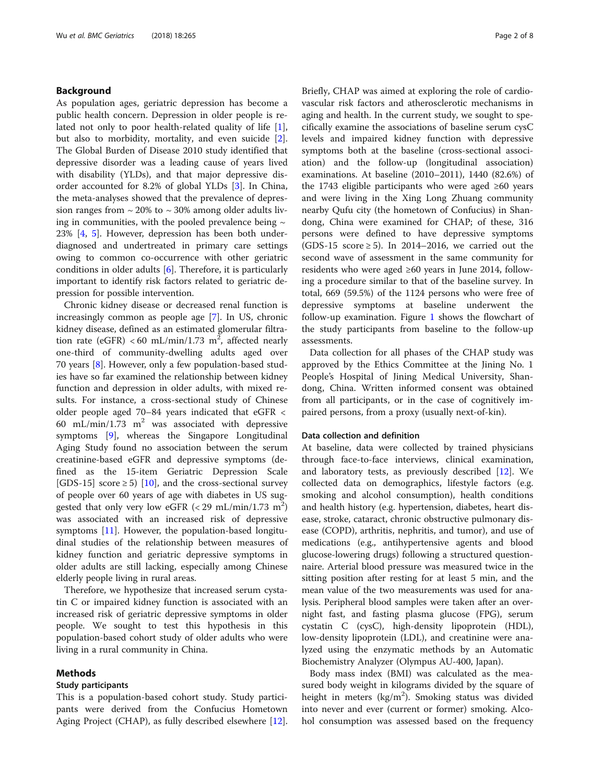# Background

As population ages, geriatric depression has become a public health concern. Depression in older people is related not only to poor health-related quality of life [\[1](#page-6-0)], but also to morbidity, mortality, and even suicide [\[2](#page-6-0)]. The Global Burden of Disease 2010 study identified that depressive disorder was a leading cause of years lived with disability (YLDs), and that major depressive disorder accounted for 8.2% of global YLDs [\[3\]](#page-6-0). In China, the meta-analyses showed that the prevalence of depression ranges from  $\sim$  20% to  $\sim$  30% among older adults living in communities, with the pooled prevalence being  $\sim$ 23% [\[4,](#page-6-0) [5\]](#page-6-0). However, depression has been both underdiagnosed and undertreated in primary care settings owing to common co-occurrence with other geriatric conditions in older adults [[6\]](#page-6-0). Therefore, it is particularly important to identify risk factors related to geriatric depression for possible intervention.

Chronic kidney disease or decreased renal function is increasingly common as people age [[7\]](#page-6-0). In US, chronic kidney disease, defined as an estimated glomerular filtration rate (eGFR) < 60 mL/min/1.73 m<sup>2</sup>, affected nearly one-third of community-dwelling adults aged over 70 years [\[8](#page-6-0)]. However, only a few population-based studies have so far examined the relationship between kidney function and depression in older adults, with mixed results. For instance, a cross-sectional study of Chinese older people aged 70–84 years indicated that eGFR < 60 mL/min/1.73 m<sup>2</sup> was associated with depressive symptoms [[9\]](#page-6-0), whereas the Singapore Longitudinal Aging Study found no association between the serum creatinine-based eGFR and depressive symptoms (defined as the 15-item Geriatric Depression Scale [GDS-15] score  $\geq$  5) [[10](#page-6-0)], and the cross-sectional survey of people over 60 years of age with diabetes in US suggested that only very low eGFR (< 29 mL/min/1.73  $m^2$ ) was associated with an increased risk of depressive symptoms [[11](#page-6-0)]. However, the population-based longitudinal studies of the relationship between measures of kidney function and geriatric depressive symptoms in older adults are still lacking, especially among Chinese elderly people living in rural areas.

Therefore, we hypothesize that increased serum cystatin C or impaired kidney function is associated with an increased risk of geriatric depressive symptoms in older people. We sought to test this hypothesis in this population-based cohort study of older adults who were living in a rural community in China.

# Methods

#### Study participants

This is a population-based cohort study. Study participants were derived from the Confucius Hometown Aging Project (CHAP), as fully described elsewhere [\[12](#page-6-0)].

Briefly, CHAP was aimed at exploring the role of cardiovascular risk factors and atherosclerotic mechanisms in aging and health. In the current study, we sought to specifically examine the associations of baseline serum cysC levels and impaired kidney function with depressive symptoms both at the baseline (cross-sectional association) and the follow-up (longitudinal association) examinations. At baseline (2010–2011), 1440 (82.6%) of the 1743 eligible participants who were aged ≥60 years and were living in the Xing Long Zhuang community nearby Qufu city (the hometown of Confucius) in Shandong, China were examined for CHAP; of these, 316 persons were defined to have depressive symptoms (GDS-15 score  $\geq$  5). In 2014–2016, we carried out the second wave of assessment in the same community for residents who were aged ≥60 years in June 2014, following a procedure similar to that of the baseline survey. In total, 669 (59.5%) of the 1124 persons who were free of depressive symptoms at baseline underwent the follow-up examination. Figure [1](#page-2-0) shows the flowchart of the study participants from baseline to the follow-up assessments.

Data collection for all phases of the CHAP study was approved by the Ethics Committee at the Jining No. 1 People's Hospital of Jining Medical University, Shandong, China. Written informed consent was obtained from all participants, or in the case of cognitively impaired persons, from a proxy (usually next-of-kin).

#### Data collection and definition

At baseline, data were collected by trained physicians through face-to-face interviews, clinical examination, and laboratory tests, as previously described [\[12\]](#page-6-0). We collected data on demographics, lifestyle factors (e.g. smoking and alcohol consumption), health conditions and health history (e.g. hypertension, diabetes, heart disease, stroke, cataract, chronic obstructive pulmonary disease (COPD), arthritis, nephritis, and tumor), and use of medications (e.g., antihypertensive agents and blood glucose-lowering drugs) following a structured questionnaire. Arterial blood pressure was measured twice in the sitting position after resting for at least 5 min, and the mean value of the two measurements was used for analysis. Peripheral blood samples were taken after an overnight fast, and fasting plasma glucose (FPG), serum cystatin C (cysC), high-density lipoprotein (HDL), low-density lipoprotein (LDL), and creatinine were analyzed using the enzymatic methods by an Automatic Biochemistry Analyzer (Olympus AU-400, Japan).

Body mass index (BMI) was calculated as the measured body weight in kilograms divided by the square of height in meters  $(kg/m^2)$ . Smoking status was divided into never and ever (current or former) smoking. Alcohol consumption was assessed based on the frequency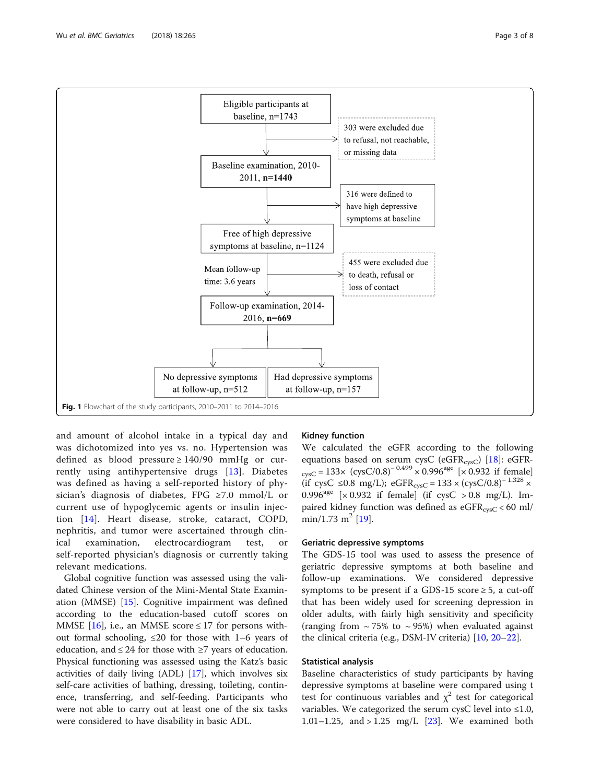<span id="page-2-0"></span>

and amount of alcohol intake in a typical day and was dichotomized into yes vs. no. Hypertension was defined as blood pressure  $\geq$  140/90 mmHg or currently using antihypertensive drugs [[13](#page-6-0)]. Diabetes was defined as having a self-reported history of physician's diagnosis of diabetes, FPG ≥7.0 mmol/L or current use of hypoglycemic agents or insulin injection [[14](#page-6-0)]. Heart disease, stroke, cataract, COPD, nephritis, and tumor were ascertained through clinical examination, electrocardiogram test, or self-reported physician's diagnosis or currently taking relevant medications.

Global cognitive function was assessed using the validated Chinese version of the Mini-Mental State Examination (MMSE) [[15\]](#page-6-0). Cognitive impairment was defined according to the education-based cutoff scores on MMSE  $[16]$  $[16]$ , i.e., an MMSE score  $\leq 17$  for persons without formal schooling,  $\leq 20$  for those with 1–6 years of education, and  $\leq 24$  for those with  $\geq 7$  years of education. Physical functioning was assessed using the Katz's basic activities of daily living (ADL) [\[17](#page-6-0)], which involves six self-care activities of bathing, dressing, toileting, continence, transferring, and self-feeding. Participants who were not able to carry out at least one of the six tasks were considered to have disability in basic ADL.

### Kidney function

We calculated the eGFR according to the following equations based on serum cysC (eGFR $_{\rm cvsC}$ ) [\[18](#page-7-0)]: eGFR- $_{\text{cysC}}$  = 133× (cysC/0.8)<sup>-0.499</sup> × 0.996<sup>age</sup> [× 0.932 if female] (if cysC ≤0.8 mg/L); eGFR<sub>cysC</sub> = 133 × (cysC/0.8)<sup>-1.328</sup> × 0.996<sup>age</sup> [ $\times$  0.932 if female] (if cysC  $>$  0.8 mg/L). Impaired kidney function was defined as  $eGFR_{\text{cyc}} < 60 \text{ ml/m}$ min/1.73 m<sup>2</sup> [\[19](#page-7-0)].

# Geriatric depressive symptoms

The GDS-15 tool was used to assess the presence of geriatric depressive symptoms at both baseline and follow-up examinations. We considered depressive symptoms to be present if a GDS-15 score  $\geq$  5, a cut-off that has been widely used for screening depression in older adults, with fairly high sensitivity and specificity (ranging from  $\sim$  75% to  $\sim$  95%) when evaluated against the clinical criteria (e.g., DSM-IV criteria) [[10,](#page-6-0) [20](#page-7-0)–[22](#page-7-0)].

# Statistical analysis

Baseline characteristics of study participants by having depressive symptoms at baseline were compared using t test for continuous variables and  $\chi^2$  test for categorical variables. We categorized the serum cysC level into  $\leq 1.0$ , 1.01–1.25, and > 1.25 mg/L [[23\]](#page-7-0). We examined both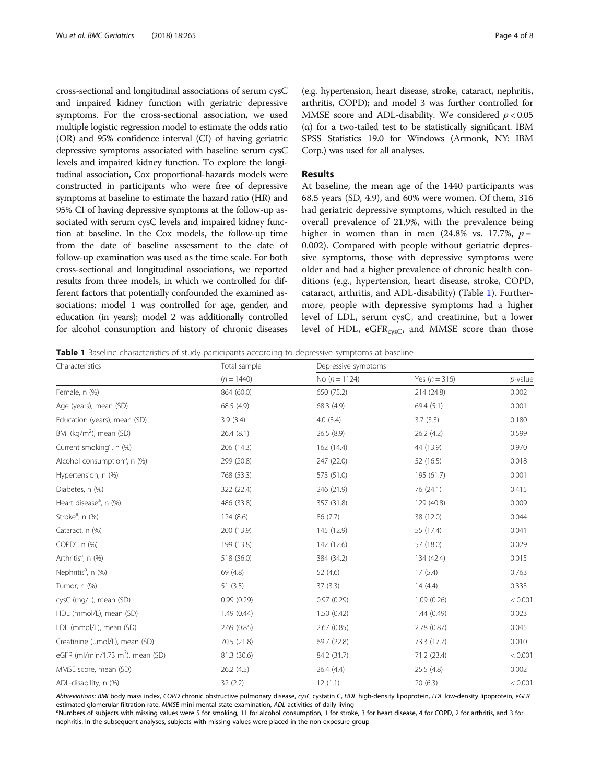<span id="page-3-0"></span>cross-sectional and longitudinal associations of serum cysC and impaired kidney function with geriatric depressive symptoms. For the cross-sectional association, we used multiple logistic regression model to estimate the odds ratio (OR) and 95% confidence interval (CI) of having geriatric depressive symptoms associated with baseline serum cysC levels and impaired kidney function. To explore the longitudinal association, Cox proportional-hazards models were constructed in participants who were free of depressive symptoms at baseline to estimate the hazard ratio (HR) and 95% CI of having depressive symptoms at the follow-up associated with serum cysC levels and impaired kidney function at baseline. In the Cox models, the follow-up time from the date of baseline assessment to the date of follow-up examination was used as the time scale. For both cross-sectional and longitudinal associations, we reported results from three models, in which we controlled for different factors that potentially confounded the examined associations: model 1 was controlled for age, gender, and education (in years); model 2 was additionally controlled for alcohol consumption and history of chronic diseases

(e.g. hypertension, heart disease, stroke, cataract, nephritis, arthritis, COPD); and model 3 was further controlled for MMSE score and ADL-disability. We considered  $p < 0.05$ (α) for a two-tailed test to be statistically significant. IBM SPSS Statistics 19.0 for Windows (Armonk, NY: IBM Corp.) was used for all analyses.

## Results

At baseline, the mean age of the 1440 participants was 68.5 years (SD, 4.9), and 60% were women. Of them, 316 had geriatric depressive symptoms, which resulted in the overall prevalence of 21.9%, with the prevalence being higher in women than in men  $(24.8\% \text{ vs. } 17.7\%, p =$ 0.002). Compared with people without geriatric depressive symptoms, those with depressive symptoms were older and had a higher prevalence of chronic health conditions (e.g., hypertension, heart disease, stroke, COPD, cataract, arthritis, and ADL-disability) (Table 1). Furthermore, people with depressive symptoms had a higher level of LDL, serum cysC, and creatinine, but a lower level of HDL,  $eGFR_{\text{cyc}}$ , and MMSE score than those

**Table 1** Baseline characteristics of study participants according to depressive symptoms at baseline

| Characteristics                               | Total sample<br>$(n = 1440)$ | Depressive symptoms |                 |            |
|-----------------------------------------------|------------------------------|---------------------|-----------------|------------|
|                                               |                              | No $(n = 1124)$     | Yes $(n = 316)$ | $p$ -value |
| Female, n (%)                                 | 864 (60.0)                   | 650 (75.2)          | 214 (24.8)      | 0.002      |
| Age (years), mean (SD)                        | 68.5 (4.9)                   | 68.3 (4.9)          | 69.4(5.1)       | 0.001      |
| Education (years), mean (SD)                  | 3.9(3.4)                     | 4.0(3.4)            | 3.7(3.3)        | 0.180      |
| BMI ( $\text{kg/m}^2$ ), mean (SD)            | 26.4(8.1)                    | 26.5(8.9)           | 26.2(4.2)       | 0.599      |
| Current smoking <sup>a</sup> , n (%)          | 206 (14.3)                   | 162 (14.4)          | 44 (13.9)       | 0.970      |
| Alcohol consumption <sup>a</sup> , n $(\%)$   | 299 (20.8)                   | 247 (22.0)          | 52 (16.5)       | 0.018      |
| Hypertension, n (%)                           | 768 (53.3)                   | 573 (51.0)          | 195 (61.7)      | 0.001      |
| Diabetes, n (%)                               | 322 (22.4)                   | 246 (21.9)          | 76 (24.1)       | 0.415      |
| Heart disease <sup>a</sup> , n (%)            | 486 (33.8)                   | 357 (31.8)          | 129 (40.8)      | 0.009      |
| Stroke <sup>a</sup> , n (%)                   | 124(8.6)                     | 86(7.7)             | 38 (12.0)       | 0.044      |
| Cataract, n (%)                               | 200 (13.9)                   | 145 (12.9)          | 55 (17.4)       | 0.041      |
| $COPDa$ , n $(\%)$                            | 199 (13.8)                   | 142 (12.6)          | 57 (18.0)       | 0.029      |
| Arthritis <sup>a</sup> , n (%)                | 518 (36.0)                   | 384 (34.2)          | 134 (42.4)      | 0.015      |
| Nephritis <sup>a</sup> , n (%)                | 69 (4.8)                     | 52 (4.6)            | 17(5.4)         | 0.763      |
| Tumor, n (%)                                  | 51(3.5)                      | 37(3.3)             | 14(4.4)         | 0.333      |
| cysC (mg/L), mean (SD)                        | 0.99(0.29)                   | 0.97(0.29)          | 1.09(0.26)      | < 0.001    |
| HDL (mmol/L), mean (SD)                       | 1.49(0.44)                   | 1.50(0.42)          | 1.44(0.49)      | 0.023      |
| LDL (mmol/L), mean (SD)                       | 2.69(0.85)                   | 2.67(0.85)          | 2.78(0.87)      | 0.045      |
| Creatinine (µmol/L), mean (SD)                | 70.5 (21.8)                  | 69.7 (22.8)         | 73.3 (17.7)     | 0.010      |
| eGFR (ml/min/1.73 m <sup>2</sup> ), mean (SD) | 81.3 (30.6)                  | 84.2 (31.7)         | 71.2 (23.4)     | < 0.001    |
| MMSE score, mean (SD)                         | 26.2(4.5)                    | 26.4(4.4)           | 25.5(4.8)       | 0.002      |
| ADL-disability, n (%)                         | 32(2.2)                      | 12(1.1)             | 20(6.3)         | < 0.001    |

Abbreviations: BMI body mass index, COPD chronic obstructive pulmonary disease, cysC cystatin C, HDL high-density lipoprotein, LDL low-density lipoprotein, eGFR estimated glomerular filtration rate, MMSE mini-mental state examination, ADL activities of daily living

<sup>a</sup>Numbers of subjects with missing values were 5 for smoking, 11 for alcohol consumption, 1 for stroke, 3 for heart disease, 4 for COPD, 2 for arthritis, and 3 for nephritis. In the subsequent analyses, subjects with missing values were placed in the non-exposure group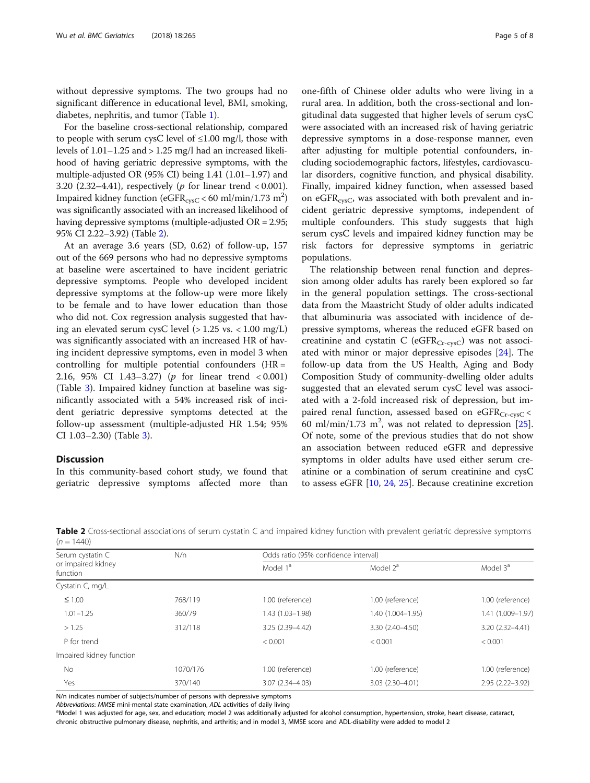without depressive symptoms. The two groups had no significant difference in educational level, BMI, smoking, diabetes, nephritis, and tumor (Table [1\)](#page-3-0).

For the baseline cross-sectional relationship, compared to people with serum cysC level of ≤1.00 mg/l, those with levels of 1.01–1.25 and > 1.25 mg/l had an increased likelihood of having geriatric depressive symptoms, with the multiple-adjusted OR (95% CI) being 1.41 (1.01–1.97) and 3.20 (2.32–4.41), respectively ( $p$  for linear trend < 0.001). Impaired kidney function (eGFR $_{\rm cyc}$ <60 ml/min/1.73 m<sup>2</sup>) was significantly associated with an increased likelihood of having depressive symptoms (multiple-adjusted OR = 2.95; 95% CI 2.22–3.92) (Table 2).

At an average 3.6 years (SD, 0.62) of follow-up, 157 out of the 669 persons who had no depressive symptoms at baseline were ascertained to have incident geriatric depressive symptoms. People who developed incident depressive symptoms at the follow-up were more likely to be female and to have lower education than those who did not. Cox regression analysis suggested that having an elevated serum cysC level  $(> 1.25 \text{ vs.} < 1.00 \text{ mg/L})$ was significantly associated with an increased HR of having incident depressive symptoms, even in model 3 when controlling for multiple potential confounders  $(HR =$ 2.16, 95% CI 1.43–3.27) (p for linear trend < 0.001) (Table [3\)](#page-5-0). Impaired kidney function at baseline was significantly associated with a 54% increased risk of incident geriatric depressive symptoms detected at the follow-up assessment (multiple-adjusted HR 1.54; 95% CI 1.03–2.30) (Table [3\)](#page-5-0).

# **Discussion**

In this community-based cohort study, we found that geriatric depressive symptoms affected more than

one-fifth of Chinese older adults who were living in a rural area. In addition, both the cross-sectional and longitudinal data suggested that higher levels of serum cysC were associated with an increased risk of having geriatric depressive symptoms in a dose-response manner, even after adjusting for multiple potential confounders, including sociodemographic factors, lifestyles, cardiovascular disorders, cognitive function, and physical disability. Finally, impaired kidney function, when assessed based on eGFR $_{\text{cvsC}}$ , was associated with both prevalent and incident geriatric depressive symptoms, independent of multiple confounders. This study suggests that high serum cysC levels and impaired kidney function may be risk factors for depressive symptoms in geriatric populations.

The relationship between renal function and depression among older adults has rarely been explored so far in the general population settings. The cross-sectional data from the Maastricht Study of older adults indicated that albuminuria was associated with incidence of depressive symptoms, whereas the reduced eGFR based on creatinine and cystatin C (eGFR $_{Cr-cyc}$ ) was not associated with minor or major depressive episodes [\[24](#page-7-0)]. The follow-up data from the US Health, Aging and Body Composition Study of community-dwelling older adults suggested that an elevated serum cysC level was associated with a 2-fold increased risk of depression, but impaired renal function, assessed based on  $eGFR<sub>Cr-cvSC</sub>$ 60 ml/min/1.73 m<sup>2</sup>, was not related to depression [\[25](#page-7-0)]. Of note, some of the previous studies that do not show an association between reduced eGFR and depressive symptoms in older adults have used either serum creatinine or a combination of serum creatinine and cysC to assess eGFR [[10](#page-6-0), [24,](#page-7-0) [25\]](#page-7-0). Because creatinine excretion

**Table 2** Cross-sectional associations of serum cystatin C and impaired kidney function with prevalent geriatric depressive symptoms  $(n - 1440)$ 

| $U = 1 + U$                    |          |                                      |                      |                     |  |  |
|--------------------------------|----------|--------------------------------------|----------------------|---------------------|--|--|
| Serum cystatin C               | N/n      | Odds ratio (95% confidence interval) |                      |                     |  |  |
| or impaired kidney<br>function |          | Model 1 <sup>ª</sup>                 | Model 2 <sup>ª</sup> | Model $3^a$         |  |  |
| Cystatin C, mg/L               |          |                                      |                      |                     |  |  |
| $\leq 1.00$                    | 768/119  | 1.00 (reference)                     | 1.00 (reference)     | 1.00 (reference)    |  |  |
| $1.01 - 1.25$                  | 360/79   | 1.43 (1.03-1.98)                     | $1.40(1.004 - 1.95)$ | 1.41 (1.009-1.97)   |  |  |
| >1.25                          | 312/118  | 3.25 (2.39-4.42)                     | 3.30 (2.40-4.50)     | $3.20(2.32 - 4.41)$ |  |  |
| P for trend                    |          | < 0.001                              | < 0.001              | < 0.001             |  |  |
| Impaired kidney function       |          |                                      |                      |                     |  |  |
| No                             | 1070/176 | 1.00 (reference)                     | 1.00 (reference)     | 1.00 (reference)    |  |  |
| Yes                            | 370/140  | 3.07 (2.34-4.03)                     | $3.03(2.30-4.01)$    | 2.95 (2.22-3.92)    |  |  |

N/n indicates number of subjects/number of persons with depressive symptoms

Abbreviations: MMSE mini-mental state examination, ADL activities of daily living

<sup>a</sup>Model 1 was adjusted for age, sex, and education; model 2 was additionally adjusted for alcohol consumption, hypertension, stroke, heart disease, cataract, chronic obstructive pulmonary disease, nephritis, and arthritis; and in model 3, MMSE score and ADL-disability were added to model 2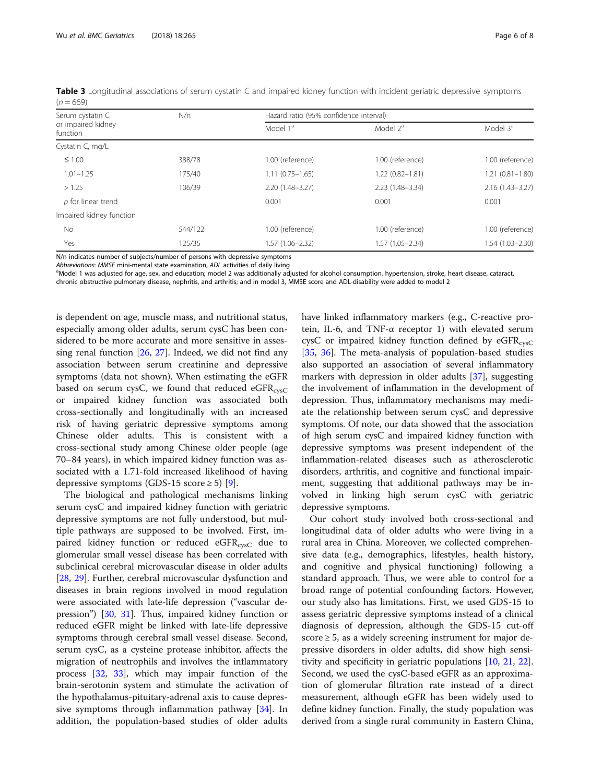| Serum cystatin C               | N/n     |                      | Hazard ratio (95% confidence interval) |                     |  |  |
|--------------------------------|---------|----------------------|----------------------------------------|---------------------|--|--|
| or impaired kidney<br>function |         | Model 1 <sup>a</sup> | Model $2^a$                            | Model $3^a$         |  |  |
| Cystatin C, mg/L               |         |                      |                                        |                     |  |  |
| $\leq 1.00$                    | 388/78  | 1.00 (reference)     | 1.00 (reference)                       | 1.00 (reference)    |  |  |
| $1.01 - 1.25$                  | 175/40  | $1.11(0.75 - 1.65)$  | $1.22(0.82 - 1.81)$                    | $1.21(0.81 - 1.80)$ |  |  |
| >1.25                          | 106/39  | $2.20(1.48 - 3.27)$  | $2.23(1.48-3.34)$                      | $2.16(1.43 - 3.27)$ |  |  |
| p for linear trend             |         | 0.001                | 0.001                                  | 0.001               |  |  |
| Impaired kidney function       |         |                      |                                        |                     |  |  |
| No                             | 544/122 | 1.00 (reference)     | 1.00 (reference)                       | 1.00 (reference)    |  |  |
| Yes                            | 125/35  | 1.57 (1.06-2.32)     | 1.57 (1.05-2.34)                       | $1.54(1.03 - 2.30)$ |  |  |

<span id="page-5-0"></span>Table 3 Longitudinal associations of serum cystatin C and impaired kidney function with incident geriatric depressive symptoms  $(n = 669)$ 

N/n indicates number of subjects/number of persons with depressive symptoms

Abbreviations: MMSE mini-mental state examination, ADL activities of daily living

<sup>a</sup>Model 1 was adjusted for age, sex, and education; model 2 was additionally adjusted for alcohol consumption, hypertension, stroke, heart disease, cataract,

chronic obstructive pulmonary disease, nephritis, and arthritis; and in model 3, MMSE score and ADL-disability were added to model 2

is dependent on age, muscle mass, and nutritional status, especially among older adults, serum cysC has been considered to be more accurate and more sensitive in assessing renal function [\[26](#page-7-0), [27](#page-7-0)]. Indeed, we did not find any association between serum creatinine and depressive symptoms (data not shown). When estimating the eGFR based on serum cysC, we found that reduced eGFR $_{\text{cvsC}}$ or impaired kidney function was associated both cross-sectionally and longitudinally with an increased risk of having geriatric depressive symptoms among Chinese older adults. This is consistent with a cross-sectional study among Chinese older people (age 70–84 years), in which impaired kidney function was associated with a 1.71-fold increased likelihood of having depressive symptoms (GDS-15 score  $\geq$  5) [\[9](#page-6-0)].

The biological and pathological mechanisms linking serum cysC and impaired kidney function with geriatric depressive symptoms are not fully understood, but multiple pathways are supposed to be involved. First, impaired kidney function or reduced eGFRcvsC due to glomerular small vessel disease has been correlated with subclinical cerebral microvascular disease in older adults [[28,](#page-7-0) [29\]](#page-7-0). Further, cerebral microvascular dysfunction and diseases in brain regions involved in mood regulation were associated with late-life depression ("vascular depression") [\[30](#page-7-0), [31\]](#page-7-0). Thus, impaired kidney function or reduced eGFR might be linked with late-life depressive symptoms through cerebral small vessel disease. Second, serum cysC, as a cysteine protease inhibitor, affects the migration of neutrophils and involves the inflammatory process [\[32](#page-7-0), [33\]](#page-7-0), which may impair function of the brain-serotonin system and stimulate the activation of the hypothalamus-pituitary-adrenal axis to cause depressive symptoms through inflammation pathway [[34\]](#page-7-0). In addition, the population-based studies of older adults have linked inflammatory markers (e.g., C-reactive protein, IL-6, and TNF-α receptor 1) with elevated serum cysC or impaired kidney function defined by  $eGFR_{cyc}$ [[35,](#page-7-0) [36\]](#page-7-0). The meta-analysis of population-based studies also supported an association of several inflammatory markers with depression in older adults [\[37](#page-7-0)], suggesting the involvement of inflammation in the development of depression. Thus, inflammatory mechanisms may mediate the relationship between serum cysC and depressive symptoms. Of note, our data showed that the association of high serum cysC and impaired kidney function with depressive symptoms was present independent of the inflammation-related diseases such as atherosclerotic disorders, arthritis, and cognitive and functional impairment, suggesting that additional pathways may be involved in linking high serum cysC with geriatric depressive symptoms.

Our cohort study involved both cross-sectional and longitudinal data of older adults who were living in a rural area in China. Moreover, we collected comprehensive data (e.g., demographics, lifestyles, health history, and cognitive and physical functioning) following a standard approach. Thus, we were able to control for a broad range of potential confounding factors. However, our study also has limitations. First, we used GDS-15 to assess geriatric depressive symptoms instead of a clinical diagnosis of depression, although the GDS-15 cut-off score  $\geq$  5, as a widely screening instrument for major depressive disorders in older adults, did show high sensitivity and specificity in geriatric populations [[10,](#page-6-0) [21](#page-7-0), [22](#page-7-0)]. Second, we used the cysC-based eGFR as an approximation of glomerular filtration rate instead of a direct measurement, although eGFR has been widely used to define kidney function. Finally, the study population was derived from a single rural community in Eastern China,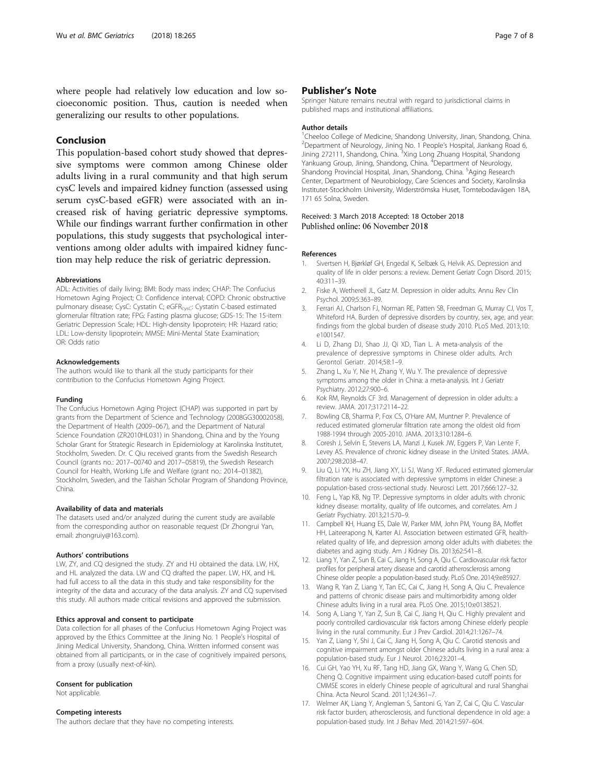<span id="page-6-0"></span>where people had relatively low education and low socioeconomic position. Thus, caution is needed when generalizing our results to other populations.

# Conclusion

This population-based cohort study showed that depressive symptoms were common among Chinese older adults living in a rural community and that high serum cysC levels and impaired kidney function (assessed using serum cysC-based eGFR) were associated with an increased risk of having geriatric depressive symptoms. While our findings warrant further confirmation in other populations, this study suggests that psychological interventions among older adults with impaired kidney function may help reduce the risk of geriatric depression.

#### Abbreviations

ADL: Activities of daily living; BMI: Body mass index; CHAP: The Confucius Hometown Aging Project; CI: Confidence interval; COPD: Chronic obstructive pulmonary disease; CysC: Cystatin C; eGFR<sub>cysC</sub>: Cystatin C-based estimated glomerular filtration rate; FPG: Fasting plasma glucose; GDS-15: The 15-item Geriatric Depression Scale; HDL: High-density lipoprotein; HR: Hazard ratio; LDL: Low-density lipoprotein; MMSE: Mini-Mental State Examination; OR: Odds ratio

#### Acknowledgements

The authors would like to thank all the study participants for their contribution to the Confucius Hometown Aging Project.

#### Funding

The Confucius Hometown Aging Project (CHAP) was supported in part by grants from the Department of Science and Technology (2008GG30002058), the Department of Health (2009–067), and the Department of Natural Science Foundation (ZR2010HL031) in Shandong, China and by the Young Scholar Grant for Strategic Research in Epidemiology at Karolinska Institutet, Stockholm, Sweden. Dr. C Qiu received grants from the Swedish Research Council (grants no.: 2017–00740 and 2017–05819), the Swedish Research Council for Health, Working Life and Welfare (grant no.: 2014–01382), Stockholm, Sweden, and the Taishan Scholar Program of Shandong Province, China.

#### Availability of data and materials

The datasets used and/or analyzed during the current study are available from the corresponding author on reasonable request (Dr Zhongrui Yan, email: zhongruiy@163.com).

#### Authors' contributions

LW, ZY, and CQ designed the study. ZY and HJ obtained the data. LW, HX, and HL analyzed the data. LW and CQ drafted the paper. LW, HX, and HL had full access to all the data in this study and take responsibility for the integrity of the data and accuracy of the data analysis. ZY and CQ supervised this study. All authors made critical revisions and approved the submission.

# Ethics approval and consent to participate

Data collection for all phases of the Confucius Hometown Aging Project was approved by the Ethics Committee at the Jining No. 1 People's Hospital of Jining Medical University, Shandong, China. Written informed consent was obtained from all participants, or in the case of cognitively impaired persons, from a proxy (usually next-of-kin).

### Consent for publication

Not applicable.

#### Competing interests

The authors declare that they have no competing interests.

# Publisher's Note

Springer Nature remains neutral with regard to jurisdictional claims in published maps and institutional affiliations.

#### Author details

<sup>1</sup>Cheeloo College of Medicine, Shandong University, Jinan, Shandong, China <sup>2</sup>Department of Neurology, Jining No. 1 People's Hospital, Jiankang Road 6 Jining 272111, Shandong, China. <sup>3</sup>Xing Long Zhuang Hospital, Shandong Yankuang Group, Jining, Shandong, China. <sup>4</sup>Department of Neurology, Shandong Provincial Hospital, Jinan, Shandong, China. <sup>5</sup>Aging Research Center, Department of Neurobiology, Care Sciences and Society, Karolinska Institutet-Stockholm University, Widerströmska Huset, Tomtebodavägen 18A, 171 65 Solna, Sweden.

# Received: 3 March 2018 Accepted: 18 October 2018 Published online: 06 November 2018

#### References

- 1. Sivertsen H, Bjørkløf GH, Engedal K, Selbæk G, Helvik AS. Depression and quality of life in older persons: a review. Dement Geriatr Cogn Disord. 2015; 40:311–39.
- 2. Fiske A, Wetherell JL, Gatz M. Depression in older adults. Annu Rev Clin Psychol. 2009;5:363–89.
- 3. Ferrari AJ, Charlson FJ, Norman RE, Patten SB, Freedman G, Murray CJ, Vos T, Whiteford HA. Burden of depressive disorders by country, sex, age, and year: findings from the global burden of disease study 2010. PLoS Med. 2013;10: e1001547.
- 4. Li D, Zhang DJ, Shao JJ, Qi XD, Tian L. A meta-analysis of the prevalence of depressive symptoms in Chinese older adults. Arch Gerontol Geriatr. 2014;58:1–9.
- 5. Zhang L, Xu Y, Nie H, Zhang Y, Wu Y. The prevalence of depressive symptoms among the older in China: a meta-analysis. Int J Geriatr Psychiatry. 2012;27:900–6.
- 6. Kok RM, Reynolds CF 3rd. Management of depression in older adults: a review. JAMA. 2017;317:2114–22.
- 7. Bowling CB, Sharma P, Fox CS, O'Hare AM, Muntner P. Prevalence of reduced estimated glomerular filtration rate among the oldest old from 1988-1994 through 2005-2010. JAMA. 2013;310:1284–6.
- Coresh J, Selvin E, Stevens LA, Manzi J, Kusek JW, Eggers P, Van Lente F, Levey AS. Prevalence of chronic kidney disease in the United States. JAMA. 2007;298:2038–47.
- 9. Liu Q, Li YX, Hu ZH, Jiang XY, Li SJ, Wang XF. Reduced estimated glomerular filtration rate is associated with depressive symptoms in elder Chinese: a population-based cross-sectional study. Neurosci Lett. 2017;666:127–32.
- 10. Feng L, Yap KB, Ng TP. Depressive symptoms in older adults with chronic kidney disease: mortality, quality of life outcomes, and correlates. Am J Geriatr Psychiatry. 2013;21:570–9.
- 11. Campbell KH, Huang ES, Dale W, Parker MM, John PM, Young BA, Moffet HH, Laiteerapong N, Karter AJ. Association between estimated GFR, healthrelated quality of life, and depression among older adults with diabetes: the diabetes and aging study. Am J Kidney Dis. 2013;62:541–8.
- 12. Liang Y, Yan Z, Sun B, Cai C, Jiang H, Song A, Qiu C. Cardiovascular risk factor profiles for peripheral artery disease and carotid atherosclerosis among Chinese older people: a population-based study. PLoS One. 2014;9:e85927.
- 13. Wang R, Yan Z, Liang Y, Tan EC, Cai C, Jiang H, Song A, Qiu C. Prevalence and patterns of chronic disease pairs and multimorbidity among older Chinese adults living in a rural area. PLoS One. 2015;10:e0138521.
- 14. Song A, Liang Y, Yan Z, Sun B, Cai C, Jiang H, Qiu C. Highly prevalent and poorly controlled cardiovascular risk factors among Chinese elderly people living in the rural community. Eur J Prev Cardiol. 2014;21:1267–74.
- 15. Yan Z, Liang Y, Shi J, Cai C, Jiang H, Song A, Qiu C. Carotid stenosis and cognitive impairment amongst older Chinese adults living in a rural area: a population-based study. Eur J Neurol. 2016;23:201–4.
- 16. Cui GH, Yao YH, Xu RF, Tang HD, Jiang GX, Wang Y, Wang G, Chen SD, Cheng Q. Cognitive impairment using education-based cutoff points for CMMSE scores in elderly Chinese people of agricultural and rural Shanghai China. Acta Neurol Scand. 2011;124:361–7.
- 17. Welmer AK, Liang Y, Angleman S, Santoni G, Yan Z, Cai C, Qiu C. Vascular risk factor burden, atherosclerosis, and functional dependence in old age: a population-based study. Int J Behav Med. 2014;21:597–604.